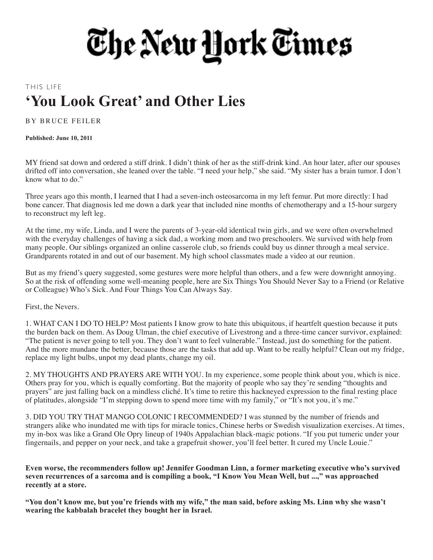# The New York Times

#### THIS LIFE **'You Look Great' and Other Lies**

BY BRUCE FEILER

**Published: June 10, 2011**

MY friend sat down and ordered a stiff drink. I didn't think of her as the stiff-drink kind. An hour later, after our spouses drifted off into conversation, she leaned over the table. "I need your help," she said. "My sister has a brain tumor. I don't know what to do."

Three years ago this month, I learned that I had a seven-inch osteosarcoma in my left femur. Put more directly: I had bone cancer. That diagnosis led me down a dark year that included nine months of chemotherapy and a 15-hour surgery to reconstruct my left leg.

At the time, my wife, Linda, and I were the parents of 3-year-old identical twin girls, and we were often overwhelmed with the everyday challenges of having a sick dad, a working mom and two preschoolers. We survived with help from many people. Our siblings organized an online casserole club, so friends could buy us dinner through a meal service. Grandparents rotated in and out of our basement. My high school classmates made a video at our reunion.

But as my friend's query suggested, some gestures were more helpful than others, and a few were downright annoying. So at the risk of offending some well-meaning people, here are Six Things You Should Never Say to a Friend (or Relative or Colleague) Who's Sick. And Four Things You Can Always Say.

First, the Nevers.

1. WHAT CAN I DO TO HELP? Most patients I know grow to hate this ubiquitous, if heartfelt question because it puts the burden back on them. As Doug Ulman, the chief executive of Livestrong and a three-time cancer survivor, explained: "The patient is never going to tell you. They don't want to feel vulnerable." Instead, just do something for the patient. And the more mundane the better, because those are the tasks that add up. Want to be really helpful? Clean out my fridge, replace my light bulbs, unpot my dead plants, change my oil.

2. MY THOUGHTS AND PRAYERS ARE WITH YOU. In my experience, some people think about you, which is nice. Others pray for you, which is equally comforting. But the majority of people who say they're sending "thoughts and prayers" are just falling back on a mindless cliché. It's time to retire this hackneyed expression to the final resting place of platitudes, alongside "I'm stepping down to spend more time with my family," or "It's not you, it's me."

3. DID YOU TRY THAT MANGO COLONIC I RECOMMENDED? I was stunned by the number of friends and strangers alike who inundated me with tips for miracle tonics, Chinese herbs or Swedish visualization exercises. At times, my in-box was like a Grand Ole Opry lineup of 1940s Appalachian black-magic potions. "If you put tumeric under your fingernails, and pepper on your neck, and take a grapefruit shower, you'll feel better. It cured my Uncle Louie."

**Even worse, the recommenders follow up! Jennifer Goodman Linn, a former marketing executive who's survived** seven recurrences of a sarcoma and is compiling a book, "I Know You Mean Well, but ...," was approached **recently at a store.**

"You don't know me, but you're friends with my wife," the man said, before asking Ms. Linn why she wasn't **wearing the kabbalah bracelet they bought her in Israel.**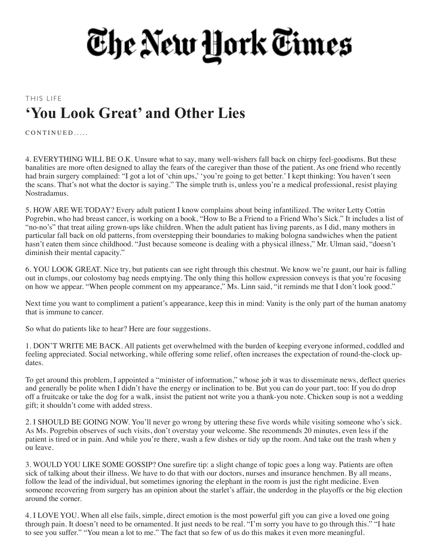# The New York Times

### THIS LIFE **'You Look Great' and Other Lies**

 $CONTIN U E D$ .....

4. EVERYTHING WILL BE O.K. Unsure what to say, many well-wishers fall back on chirpy feel-goodisms. But these banalities are more often designed to allay the fears of the caregiver than those of the patient. As one friend who recently had brain surgery complained: "I got a lot of 'chin ups,' 'you're going to get better.' I kept thinking: You haven't seen the scans. That's not what the doctor is saying." The simple truth is, unless you're a medical professional, resist playing Nostradamus.

5. HOW ARE WE TODAY? Every adult patient I know complains about being infantilized. The writer Letty Cottin Pogrebin, who had breast cancer, is working on a book, "How to Be a Friend to a Friend Who's Sick." It includes a list of "no-no's" that treat ailing grown-ups like children. When the adult patient has living parents, as I did, many mothers in particular fall back on old patterns, from overstepping their boundaries to making bologna sandwiches when the patient hasn't eaten them since childhood. "Just because someone is dealing with a physical illness," Mr. Ulman said, "doesn't diminish their mental capacity."

6. YOU LOOK GREAT. Nice try, but patients can see right through this chestnut. We know we're gaunt, our hair is falling out in clumps, our colostomy bag needs emptying. The only thing this hollow expression conveys is that you're focusing on how we appear. "When people comment on my appearance," Ms. Linn said, "it reminds me that I don't look good."

Next time you want to compliment a patient's appearance, keep this in mind: Vanity is the only part of the human anatomy that is immune to cancer.

So what do patients like to hear? Here are four suggestions.

1. DON'T WRITE ME BACK. All patients get overwhelmed with the burden of keeping everyone informed, coddled and feeling appreciated. Social networking, while offering some relief, often increases the expectation of round-the-clock updates.

To get around this problem, I appointed a "minister of information," whose job it was to disseminate news, deflect queries and generally be polite when I didn't have the energy or inclination to be. But you can do your part, too: If you do drop off a fruitcake or take the dog for a walk, insist the patient not write you a thank-you note. Chicken soup is not a wedding gift; it shouldn't come with added stress.

2. I SHOULD BE GOING NOW. You'll never go wrong by uttering these five words while visiting someone who's sick. As Ms. Pogrebin observes of such visits, don't overstay your welcome. She recommends 20 minutes, even less if the patient is tired or in pain. And while you're there, wash a few dishes or tidy up the room. And take out the trash when y ou leave.

3. WOULD YOU LIKE SOME GOSSIP? One surefire tip: a slight change of topic goes a long way. Patients are often sick of talking about their illness. We have to do that with our doctors, nurses and insurance henchmen. By all means, follow the lead of the individual, but sometimes ignoring the elephant in the room is just the right medicine. Even someone recovering from surgery has an opinion about the starlet's affair, the underdog in the playoffs or the big election around the corner.

4. I LOVE YOU. When all else fails, simple, direct emotion is the most powerful gift you can give a loved one going through pain. It doesn't need to be ornamented. It just needs to be real. "I'm sorry you have to go through this." "I hate to see you suffer." "You mean a lot to me." The fact that so few of us do this makes it even more meaningful.